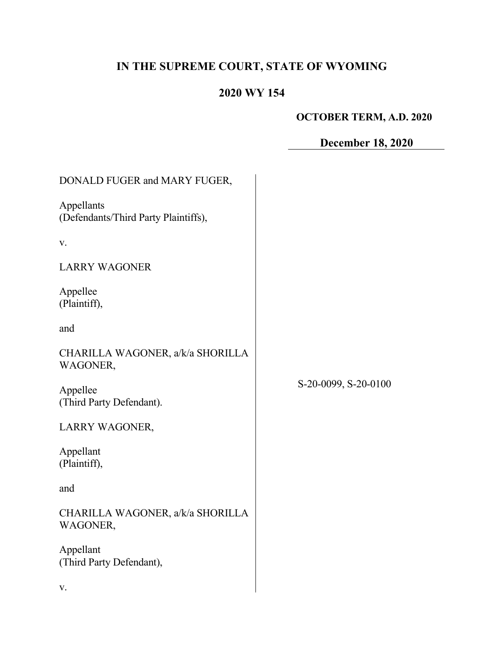# **IN THE SUPREME COURT, STATE OF WYOMING**

## **2020 WY 154**

# **OCTOBER TERM, A.D. 2020**

# **December 18, 2020**

| DONALD FUGER and MARY FUGER,                       |                      |
|----------------------------------------------------|----------------------|
| Appellants<br>(Defendants/Third Party Plaintiffs), |                      |
| V.                                                 |                      |
| <b>LARRY WAGONER</b>                               |                      |
| Appellee<br>(Plaintiff),                           |                      |
| and                                                |                      |
| CHARILLA WAGONER, a/k/a SHORILLA<br>WAGONER,       |                      |
| Appellee<br>(Third Party Defendant).               | S-20-0099, S-20-0100 |
| LARRY WAGONER,                                     |                      |
| Appellant<br>(Plaintiff),                          |                      |
| and                                                |                      |
| CHARILLA WAGONER, a/k/a SHORILLA<br>WAGONER,       |                      |
| Appellant<br>(Third Party Defendant),              |                      |
| V.                                                 |                      |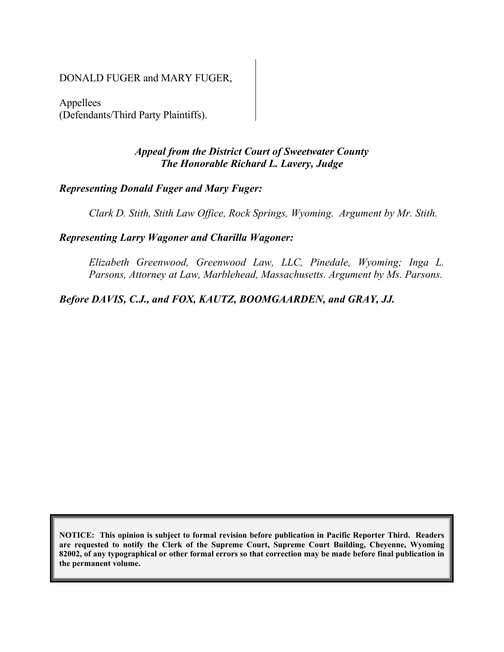#### DONALD FUGER and MARY FUGER,

Appellees (Defendants/Third Party Plaintiffs).

### *Appeal from the District Court of Sweetwater County The Honorable Richard L. Lavery, Judge*

## *Representing Donald Fuger and Mary Fuger:*

*Clark D. Stith, Stith Law Office, Rock Springs, Wyoming. Argument by Mr. Stith.*

#### *Representing Larry Wagoner and Charilla Wagoner:*

*Elizabeth Greenwood, Greenwood Law, LLC, Pinedale, Wyoming; Inga L. Parsons, Attorney at Law, Marblehead, Massachusetts. Argument by Ms. Parsons.*

## *Before DAVIS, C.J., and FOX, KAUTZ, BOOMGAARDEN, and GRAY, JJ.*

**NOTICE: This opinion is subject to formal revision before publication in Pacific Reporter Third. Readers are requested to notify the Clerk of the Supreme Court, Supreme Court Building, Cheyenne, Wyoming 82002, of any typographical or other formal errors so that correction may be made before final publication in the permanent volume.**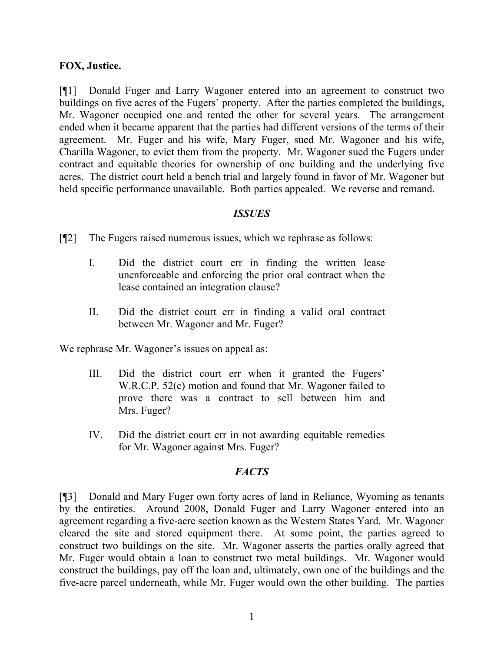#### **FOX, Justice.**

[¶1] Donald Fuger and Larry Wagoner entered into an agreement to construct two buildings on five acres of the Fugers' property. After the parties completed the buildings, Mr. Wagoner occupied one and rented the other for several years. The arrangement ended when it became apparent that the parties had different versions of the terms of their agreement. Mr. Fuger and his wife, Mary Fuger, sued Mr. Wagoner and his wife, Charilla Wagoner, to evict them from the property. Mr. Wagoner sued the Fugers under contract and equitable theories for ownership of one building and the underlying five acres. The district court held a bench trial and largely found in favor of Mr. Wagoner but held specific performance unavailable. Both parties appealed. We reverse and remand.

#### *ISSUES*

- [¶2] The Fugers raised numerous issues, which we rephrase as follows:
	- I. Did the district court err in finding the written lease unenforceable and enforcing the prior oral contract when the lease contained an integration clause?
	- II. Did the district court err in finding a valid oral contract between Mr. Wagoner and Mr. Fuger?

We rephrase Mr. Wagoner's issues on appeal as:

- III. Did the district court err when it granted the Fugers' W.R.C.P. 52(c) motion and found that Mr. Wagoner failed to prove there was a contract to sell between him and Mrs. Fuger?
- IV. Did the district court err in not awarding equitable remedies for Mr. Wagoner against Mrs. Fuger?

#### *FACTS*

[¶3] Donald and Mary Fuger own forty acres of land in Reliance, Wyoming as tenants by the entireties. Around 2008, Donald Fuger and Larry Wagoner entered into an agreement regarding a five-acre section known as the Western States Yard. Mr. Wagoner cleared the site and stored equipment there. At some point, the parties agreed to construct two buildings on the site. Mr. Wagoner asserts the parties orally agreed that Mr. Fuger would obtain a loan to construct two metal buildings. Mr. Wagoner would construct the buildings, pay off the loan and, ultimately, own one of the buildings and the five-acre parcel underneath, while Mr. Fuger would own the other building. The parties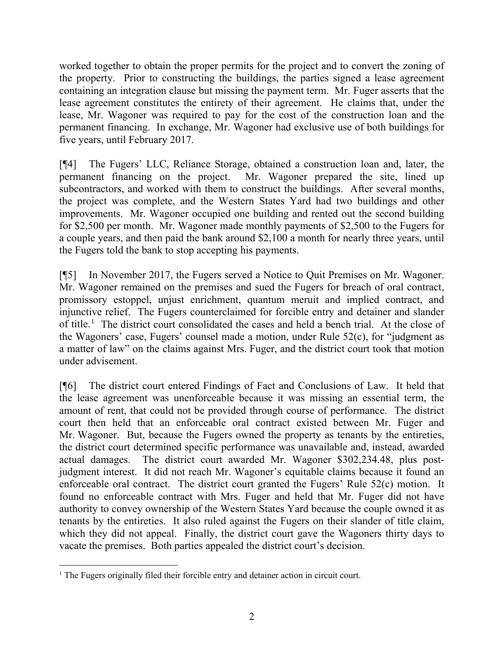worked together to obtain the proper permits for the project and to convert the zoning of the property. Prior to constructing the buildings, the parties signed a lease agreement containing an integration clause but missing the payment term. Mr. Fuger asserts that the lease agreement constitutes the entirety of their agreement. He claims that, under the lease, Mr. Wagoner was required to pay for the cost of the construction loan and the permanent financing. In exchange, Mr. Wagoner had exclusive use of both buildings for five years, until February 2017.

[¶4] The Fugers' LLC, Reliance Storage, obtained a construction loan and, later, the permanent financing on the project. Mr. Wagoner prepared the site, lined up subcontractors, and worked with them to construct the buildings. After several months, the project was complete, and the Western States Yard had two buildings and other improvements. Mr. Wagoner occupied one building and rented out the second building for \$2,500 per month. Mr. Wagoner made monthly payments of \$2,500 to the Fugers for a couple years, and then paid the bank around \$2,100 a month for nearly three years, until the Fugers told the bank to stop accepting his payments.

[¶5] In November 2017, the Fugers served a Notice to Quit Premises on Mr. Wagoner. Mr. Wagoner remained on the premises and sued the Fugers for breach of oral contract, promissory estoppel, unjust enrichment, quantum meruit and implied contract, and injunctive relief. The Fugers counterclaimed for forcible entry and detainer and slander of title.<sup>[1](#page-3-0)</sup> The district court consolidated the cases and held a bench trial. At the close of the Wagoners' case, Fugers' counsel made a motion, under Rule 52(c), for "judgment as a matter of law" on the claims against Mrs. Fuger, and the district court took that motion under advisement.

[¶6] The district court entered Findings of Fact and Conclusions of Law. It held that the lease agreement was unenforceable because it was missing an essential term, the amount of rent, that could not be provided through course of performance. The district court then held that an enforceable oral contract existed between Mr. Fuger and Mr. Wagoner. But, because the Fugers owned the property as tenants by the entireties, the district court determined specific performance was unavailable and, instead, awarded actual damages. The district court awarded Mr. Wagoner \$302,234.48, plus postjudgment interest. It did not reach Mr. Wagoner's equitable claims because it found an enforceable oral contract. The district court granted the Fugers' Rule 52(c) motion. It found no enforceable contract with Mrs. Fuger and held that Mr. Fuger did not have authority to convey ownership of the Western States Yard because the couple owned it as tenants by the entireties. It also ruled against the Fugers on their slander of title claim, which they did not appeal. Finally, the district court gave the Wagoners thirty days to vacate the premises. Both parties appealed the district court's decision.

<span id="page-3-0"></span><sup>&</sup>lt;sup>1</sup> The Fugers originally filed their forcible entry and detainer action in circuit court.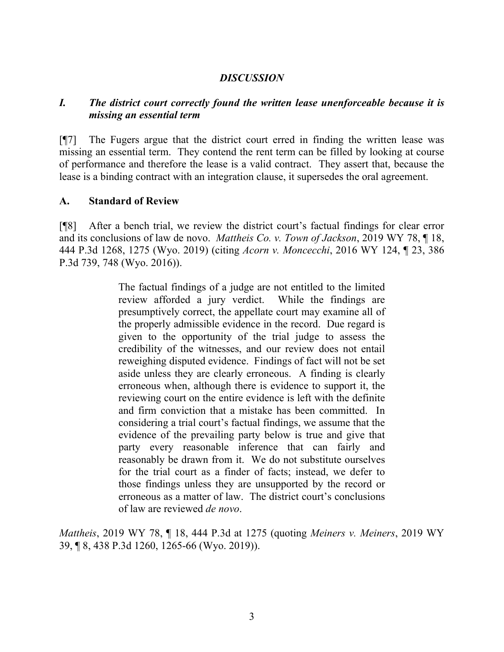#### *DISCUSSION*

#### *I. The district court correctly found the written lease unenforceable because it is missing an essential term*

[¶7] The Fugers argue that the district court erred in finding the written lease was missing an essential term. They contend the rent term can be filled by looking at course of performance and therefore the lease is a valid contract. They assert that, because the lease is a binding contract with an integration clause, it supersedes the oral agreement.

#### **A. Standard of Review**

[¶8] After a bench trial, we review the district court's factual findings for clear error and its conclusions of law de novo. *Mattheis Co. v. Town of Jackson*, 2019 WY 78, ¶ 18, 444 P.3d 1268, 1275 (Wyo. 2019) (citing *Acorn v. Moncecchi*, 2016 WY 124, ¶ 23, 386 P.3d 739, 748 (Wyo. 2016)).

> The factual findings of a judge are not entitled to the limited review afforded a jury verdict. While the findings are presumptively correct, the appellate court may examine all of the properly admissible evidence in the record. Due regard is given to the opportunity of the trial judge to assess the credibility of the witnesses, and our review does not entail reweighing disputed evidence. Findings of fact will not be set aside unless they are clearly erroneous. A finding is clearly erroneous when, although there is evidence to support it, the reviewing court on the entire evidence is left with the definite and firm conviction that a mistake has been committed. In considering a trial court's factual findings, we assume that the evidence of the prevailing party below is true and give that party every reasonable inference that can fairly and reasonably be drawn from it. We do not substitute ourselves for the trial court as a finder of facts; instead, we defer to those findings unless they are unsupported by the record or erroneous as a matter of law. The district court's conclusions of law are reviewed *de novo*.

*Mattheis*, 2019 WY 78, ¶ 18, 444 P.3d at 1275 (quoting *Meiners v. Meiners*, 2019 WY 39, ¶ 8, 438 P.3d 1260, 1265-66 (Wyo. 2019)).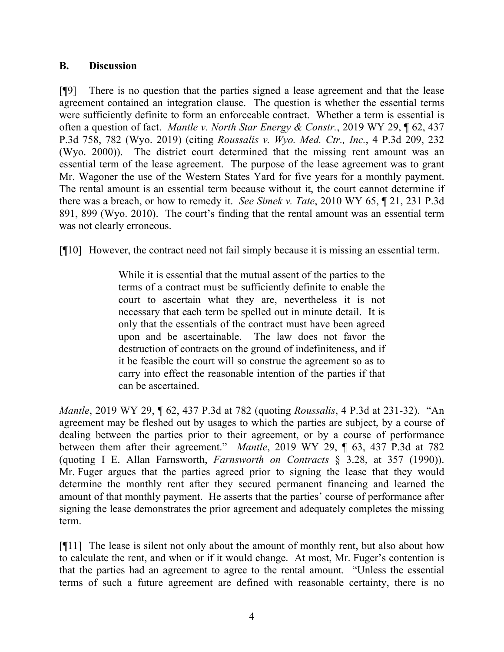#### **B. Discussion**

[¶9] There is no question that the parties signed a lease agreement and that the lease agreement contained an integration clause. The question is whether the essential terms were sufficiently definite to form an enforceable contract. Whether a term is essential is often a question of fact. *Mantle v. North Star Energy & Constr.*, 2019 WY 29, ¶ 62, 437 P.3d 758, 782 (Wyo. 2019) (citing *Roussalis v. Wyo. Med. Ctr., Inc.*, 4 P.3d 209, 232 (Wyo. 2000)). The district court determined that the missing rent amount was an essential term of the lease agreement. The purpose of the lease agreement was to grant Mr. Wagoner the use of the Western States Yard for five years for a monthly payment. The rental amount is an essential term because without it, the court cannot determine if there was a breach, or how to remedy it. *See Simek v. Tate*, 2010 WY 65, ¶ 21, 231 P.3d 891, 899 (Wyo. 2010). The court's finding that the rental amount was an essential term was not clearly erroneous.

[¶10] However, the contract need not fail simply because it is missing an essential term.

While it is essential that the mutual assent of the parties to the terms of a contract must be sufficiently definite to enable the court to ascertain what they are, nevertheless it is not necessary that each term be spelled out in minute detail. It is only that the essentials of the contract must have been agreed upon and be ascertainable. The law does not favor the destruction of contracts on the ground of indefiniteness, and if it be feasible the court will so construe the agreement so as to carry into effect the reasonable intention of the parties if that can be ascertained.

*Mantle*, 2019 WY 29, ¶ 62, 437 P.3d at 782 (quoting *Roussalis*, 4 P.3d at 231-32). "An agreement may be fleshed out by usages to which the parties are subject, by a course of dealing between the parties prior to their agreement, or by a course of performance between them after their agreement." *Mantle*, 2019 WY 29, ¶ 63, 437 P.3d at 782 (quoting I E. Allan Farnsworth, *Farnsworth on Contracts* § 3.28, at 357 (1990)). Mr. Fuger argues that the parties agreed prior to signing the lease that they would determine the monthly rent after they secured permanent financing and learned the amount of that monthly payment. He asserts that the parties' course of performance after signing the lease demonstrates the prior agreement and adequately completes the missing term.

[¶11] The lease is silent not only about the amount of monthly rent, but also about how to calculate the rent, and when or if it would change. At most, Mr. Fuger's contention is that the parties had an agreement to agree to the rental amount. "Unless the essential terms of such a future agreement are defined with reasonable certainty, there is no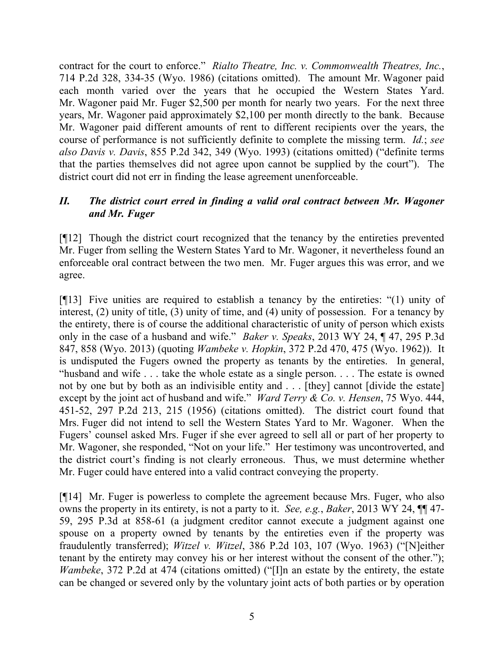contract for the court to enforce." *Rialto Theatre, Inc. v. Commonwealth Theatres, Inc.*, 714 P.2d 328, 334-35 (Wyo. 1986) (citations omitted). The amount Mr. Wagoner paid each month varied over the years that he occupied the Western States Yard. Mr. Wagoner paid Mr. Fuger \$2,500 per month for nearly two years. For the next three years, Mr. Wagoner paid approximately \$2,100 per month directly to the bank. Because Mr. Wagoner paid different amounts of rent to different recipients over the years, the course of performance is not sufficiently definite to complete the missing term. *Id.*; *see also Davis v. Davis*, 855 P.2d 342, 349 (Wyo. 1993) (citations omitted) ("definite terms that the parties themselves did not agree upon cannot be supplied by the court"). The district court did not err in finding the lease agreement unenforceable.

## *II. The district court erred in finding a valid oral contract between Mr. Wagoner and Mr. Fuger*

[¶12] Though the district court recognized that the tenancy by the entireties prevented Mr. Fuger from selling the Western States Yard to Mr. Wagoner, it nevertheless found an enforceable oral contract between the two men. Mr. Fuger argues this was error, and we agree.

[¶13] Five unities are required to establish a tenancy by the entireties: "(1) unity of interest, (2) unity of title, (3) unity of time, and (4) unity of possession. For a tenancy by the entirety, there is of course the additional characteristic of unity of person which exists only in the case of a husband and wife." *Baker v. Speaks*, 2013 WY 24, ¶ 47, 295 P.3d 847, 858 (Wyo. 2013) (quoting *Wambeke v. Hopkin*, 372 P.2d 470, 475 (Wyo. 1962)). It is undisputed the Fugers owned the property as tenants by the entireties. In general, "husband and wife . . . take the whole estate as a single person. . . . The estate is owned not by one but by both as an indivisible entity and . . . [they] cannot [divide the estate] except by the joint act of husband and wife." *Ward Terry & Co. v. Hensen*, 75 Wyo. 444, 451-52, 297 P.2d 213, 215 (1956) (citations omitted). The district court found that Mrs. Fuger did not intend to sell the Western States Yard to Mr. Wagoner. When the Fugers' counsel asked Mrs. Fuger if she ever agreed to sell all or part of her property to Mr. Wagoner, she responded, "Not on your life." Her testimony was uncontroverted, and the district court's finding is not clearly erroneous. Thus, we must determine whether Mr. Fuger could have entered into a valid contract conveying the property.

[¶14] Mr. Fuger is powerless to complete the agreement because Mrs. Fuger, who also owns the property in its entirety, is not a party to it. *See, e.g.*, *Baker*, 2013 WY 24, ¶¶ 47- 59, 295 P.3d at 858-61 (a judgment creditor cannot execute a judgment against one spouse on a property owned by tenants by the entireties even if the property was fraudulently transferred); *Witzel v. Witzel*, 386 P.2d 103, 107 (Wyo. 1963) ("[N]either tenant by the entirety may convey his or her interest without the consent of the other."); *Wambeke*, 372 P.2d at 474 (citations omitted) ("[I]n an estate by the entirety, the estate can be changed or severed only by the voluntary joint acts of both parties or by operation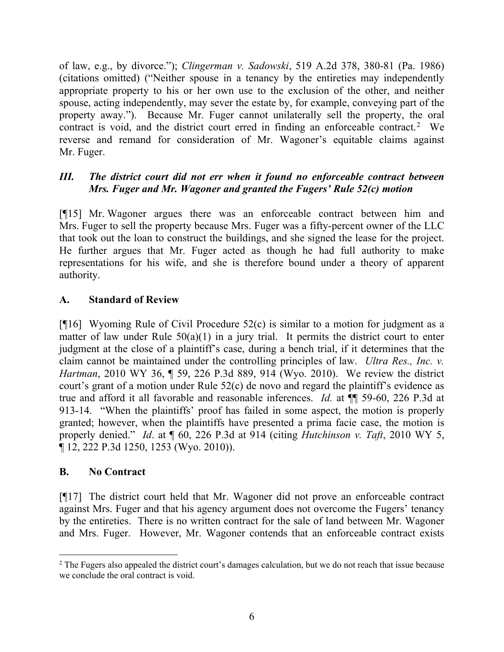of law, e.g., by divorce."); *Clingerman v. Sadowski*, 519 A.2d 378, 380-81 (Pa. 1986) (citations omitted) ("Neither spouse in a tenancy by the entireties may independently appropriate property to his or her own use to the exclusion of the other, and neither spouse, acting independently, may sever the estate by, for example, conveying part of the property away."). Because Mr. Fuger cannot unilaterally sell the property, the oral contract is void, and the district court erred in finding an enforceable contract.<sup>[2](#page-7-0)</sup> We reverse and remand for consideration of Mr. Wagoner's equitable claims against Mr. Fuger.

## *III. The district court did not err when it found no enforceable contract between Mrs. Fuger and Mr. Wagoner and granted the Fugers' Rule 52(c) motion*

[¶15] Mr. Wagoner argues there was an enforceable contract between him and Mrs. Fuger to sell the property because Mrs. Fuger was a fifty-percent owner of the LLC that took out the loan to construct the buildings, and she signed the lease for the project. He further argues that Mr. Fuger acted as though he had full authority to make representations for his wife, and she is therefore bound under a theory of apparent authority.

#### **A. Standard of Review**

[ $[16]$  Wyoming Rule of Civil Procedure 52(c) is similar to a motion for judgment as a matter of law under Rule  $50(a)(1)$  in a jury trial. It permits the district court to enter judgment at the close of a plaintiff's case, during a bench trial, if it determines that the claim cannot be maintained under the controlling principles of law. *Ultra Res., Inc. v. Hartman*, 2010 WY 36, ¶ 59, 226 P.3d 889, 914 (Wyo. 2010). We review the district court's grant of a motion under Rule 52(c) de novo and regard the plaintiff's evidence as true and afford it all favorable and reasonable inferences. *Id.* at ¶¶ 59-60, 226 P.3d at 913-14. "When the plaintiffs' proof has failed in some aspect, the motion is properly granted; however, when the plaintiffs have presented a prima facie case, the motion is properly denied." *Id*. at ¶ 60, 226 P.3d at 914 (citing *Hutchinson v. Taft*, 2010 WY 5, ¶ 12, 222 P.3d 1250, 1253 (Wyo. 2010)).

#### **B. No Contract**

[¶17] The district court held that Mr. Wagoner did not prove an enforceable contract against Mrs. Fuger and that his agency argument does not overcome the Fugers' tenancy by the entireties. There is no written contract for the sale of land between Mr. Wagoner and Mrs. Fuger. However, Mr. Wagoner contends that an enforceable contract exists

<span id="page-7-0"></span><sup>&</sup>lt;sup>2</sup> The Fugers also appealed the district court's damages calculation, but we do not reach that issue because we conclude the oral contract is void.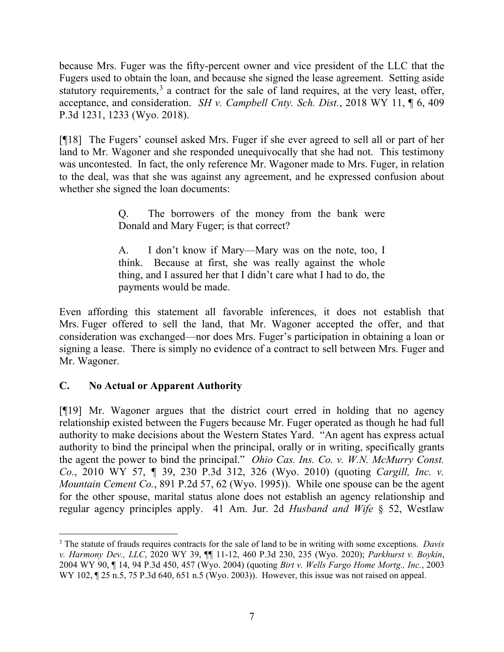because Mrs. Fuger was the fifty-percent owner and vice president of the LLC that the Fugers used to obtain the loan, and because she signed the lease agreement. Setting aside statutory requirements,<sup>[3](#page-8-0)</sup> a contract for the sale of land requires, at the very least, offer, acceptance, and consideration. *SH v. Campbell Cnty. Sch. Dist.*, 2018 WY 11, ¶ 6, 409 P.3d 1231, 1233 (Wyo. 2018).

[¶18] The Fugers' counsel asked Mrs. Fuger if she ever agreed to sell all or part of her land to Mr. Wagoner and she responded unequivocally that she had not. This testimony was uncontested. In fact, the only reference Mr. Wagoner made to Mrs. Fuger, in relation to the deal, was that she was against any agreement, and he expressed confusion about whether she signed the loan documents:

> Q. The borrowers of the money from the bank were Donald and Mary Fuger; is that correct?

> A. I don't know if Mary—Mary was on the note, too, I think. Because at first, she was really against the whole thing, and I assured her that I didn't care what I had to do, the payments would be made.

Even affording this statement all favorable inferences, it does not establish that Mrs. Fuger offered to sell the land, that Mr. Wagoner accepted the offer, and that consideration was exchanged—nor does Mrs. Fuger's participation in obtaining a loan or signing a lease. There is simply no evidence of a contract to sell between Mrs. Fuger and Mr. Wagoner.

## **C. No Actual or Apparent Authority**

[¶19] Mr. Wagoner argues that the district court erred in holding that no agency relationship existed between the Fugers because Mr. Fuger operated as though he had full authority to make decisions about the Western States Yard. "An agent has express actual authority to bind the principal when the principal, orally or in writing, specifically grants the agent the power to bind the principal." *Ohio Cas. Ins. Co. v. W.N. McMurry Const. Co.*, 2010 WY 57, *¶* 39, 230 P.3d 312, 326 (Wyo. 2010) (quoting *Cargill, Inc. v. Mountain Cement Co.*, 891 P.2d 57, 62 (Wyo. 1995)). While one spouse can be the agent for the other spouse, marital status alone does not establish an agency relationship and regular agency principles apply. 41 Am. Jur. 2d *Husband and Wife* § 52, Westlaw

<span id="page-8-0"></span><sup>3</sup> The statute of frauds requires contracts for the sale of land to be in writing with some exceptions. *Davis v. Harmony Dev., LLC*, 2020 WY 39, ¶¶ 11-12, 460 P.3d 230, 235 (Wyo. 2020); *Parkhurst v. Boykin*, 2004 WY 90, ¶ 14, 94 P.3d 450, 457 (Wyo. 2004) (quoting *Birt v. Wells Fargo Home Mortg., Inc.*, 2003 WY 102,  $\sqrt{25}$  n.5, 75 P.3d 640, 651 n.5 (Wyo. 2003)). However, this issue was not raised on appeal.